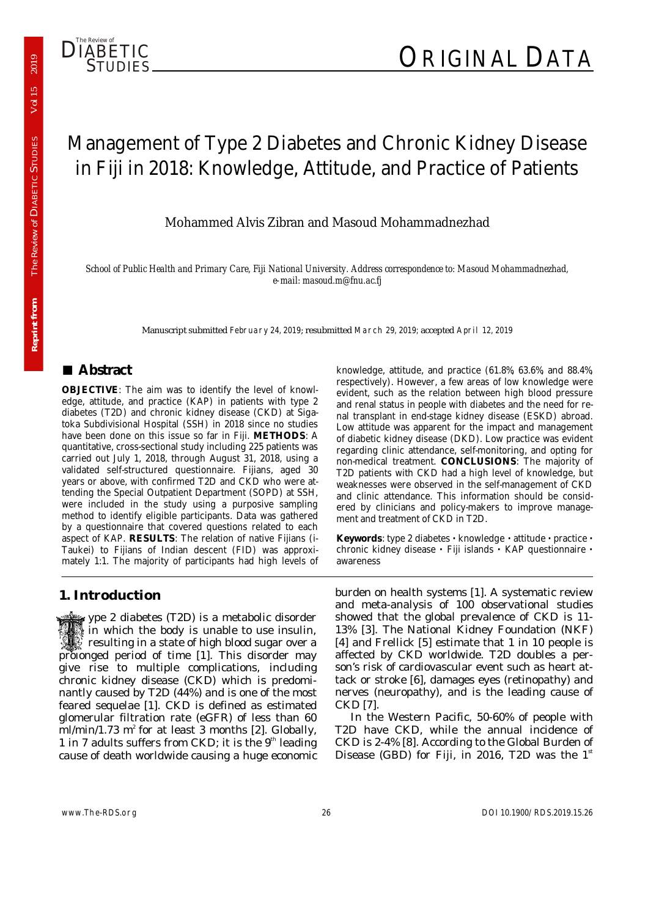

# Management of Type 2 Diabetes and Chronic Kidney Disease in Fiji in 2018: Knowledge, Attitude, and Practice of Patients

Mohammed Alvis Zibran and Masoud Mohammadnezhad

*School of Public Health and Primary Care, Fiji National University. Address correspondence to: Masoud Mohammadnezhad, e-mail: masoud.m@fnu.ac.fj* 

Manuscript submitted February 24, 2019; resubmitted March 29, 2019; accepted April 12, 2019

## **■ Abstract**

**Reprint from** The Review of

**Reprint from** 

DIABETIC STUDIES *Vol 15 2019* 

The Review of DIABETIC STUDIES

2019

Vol 15

**OBJECTIVE**: The aim was to identify the level of knowledge, attitude, and practice (KAP) in patients with type 2 diabetes (T2D) and chronic kidney disease (CKD) at Sigatoka Subdivisional Hospital (SSH) in 2018 since no studies have been done on this issue so far in Fiji. **METHODS**: A quantitative, cross-sectional study including 225 patients was carried out July 1, 2018, through August 31, 2018, using a validated self-structured questionnaire. Fijians, aged 30 years or above, with confirmed T2D and CKD who were attending the Special Outpatient Department (SOPD) at SSH, were included in the study using a purposive sampling method to identify eligible participants. Data was gathered by a questionnaire that covered questions related to each aspect of KAP. **RESULTS**: The relation of native Fijians (i-Taukei) to Fijians of Indian descent (FID) was approximately 1:1. The majority of participants had high levels of

## **1. Introduction**

 ype 2 diabetes (T2D) is a metabolic disorder in which the body is unable to use insulin,  $\mathbb{C}$  resulting in a state of high blood sugar over a prolonged period of time [1]. This disorder may give rise to multiple complications, including chronic kidney disease (CKD) which is predominantly caused by T2D (44%) and is one of the most feared sequelae [1]. CKD is defined as estimated glomerular filtration rate (eGFR) of less than 60  $m/m$ in/1.73 m<sup>2</sup> for at least 3 months [2]. Globally, 1 in 7 adults suffers from CKD; it is the  $9<sup>th</sup>$  leading cause of death worldwide causing a huge economic

knowledge, attitude, and practice (61.8%, 63.6%, and 88.4%, respectively). However, a few areas of low knowledge were evident, such as the relation between high blood pressure and renal status in people with diabetes and the need for renal transplant in end-stage kidney disease (ESKD) abroad. Low attitude was apparent for the impact and management of diabetic kidney disease (DKD). Low practice was evident regarding clinic attendance, self-monitoring, and opting for non-medical treatment. **CONCLUSIONS**: The majority of T2D patients with CKD had a high level of knowledge, but weaknesses were observed in the self-management of CKD and clinic attendance. This information should be considered by clinicians and policy-makers to improve management and treatment of CKD in T2D.

**Keywords**: type 2 diabetes **·** knowledge **·** attitude **·** practice **·** chronic kidney disease **·** Fiji islands **·** KAP questionnaire **·**  awareness

burden on health systems [1]. A systematic review and meta-analysis of 100 observational studies showed that the global prevalence of CKD is 11- 13% [3]. The National Kidney Foundation (NKF) [4] and Frellick [5] estimate that 1 in 10 people is affected by CKD worldwide. T2D doubles a person's risk of cardiovascular event such as heart attack or stroke [6], damages eyes (retinopathy) and nerves (neuropathy), and is the leading cause of CKD [7].

In the Western Pacific, 50-60% of people with T2D have CKD, while the annual incidence of CKD is 2-4% [8]. According to the Global Burden of Disease (GBD) for Fiji, in 2016, T2D was the  $1<sup>st</sup>$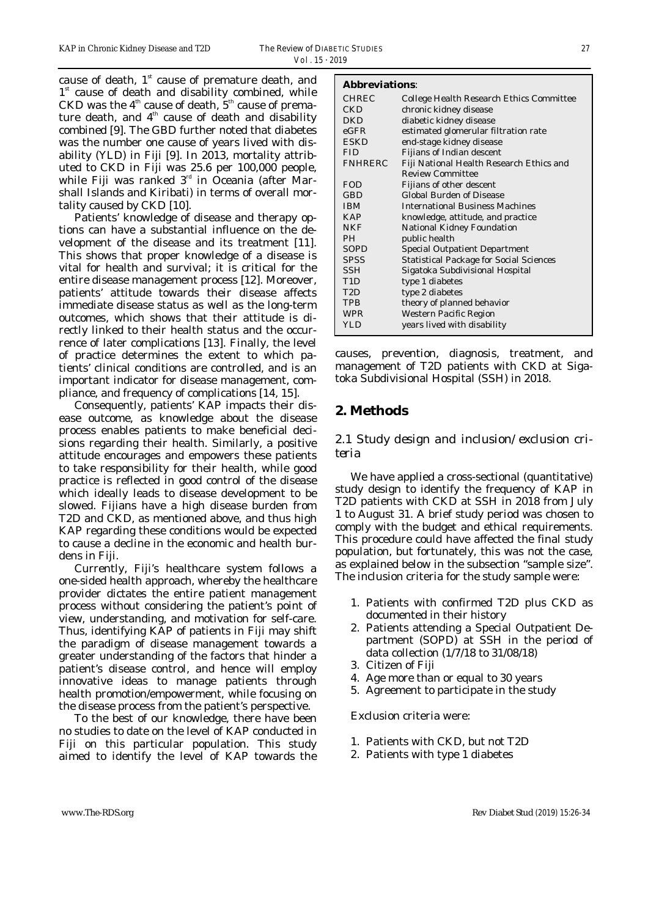cause of death,  $1<sup>st</sup>$  cause of premature death, and  $1<sup>st</sup>$  cause of death and disability combined, while CKD was the  $4<sup>th</sup>$  cause of death,  $5<sup>th</sup>$  cause of premature death, and  $4<sup>th</sup>$  cause of death and disability combined [9]. The GBD further noted that diabetes was the number one cause of years lived with disability (YLD) in Fiji [9]. In 2013, mortality attributed to CKD in Fiji was 25.6 per 100,000 people, while Fiji was ranked  $3<sup>rd</sup>$  in Oceania (after Marshall Islands and Kiribati) in terms of overall mortality caused by CKD [10].

Patients' knowledge of disease and therapy options can have a substantial influence on the development of the disease and its treatment [11]. This shows that proper knowledge of a disease is vital for health and survival; it is critical for the entire disease management process [12]. Moreover, patients' attitude towards their disease affects immediate disease status as well as the long-term outcomes, which shows that their attitude is directly linked to their health status and the occurrence of later complications [13]. Finally, the level of practice determines the extent to which patients' clinical conditions are controlled, and is an important indicator for disease management, compliance, and frequency of complications [14, 15].

Consequently, patients' KAP impacts their disease outcome, as knowledge about the disease process enables patients to make beneficial decisions regarding their health. Similarly, a positive attitude encourages and empowers these patients to take responsibility for their health, while good practice is reflected in good control of the disease which ideally leads to disease development to be slowed. Fijians have a high disease burden from T2D and CKD, as mentioned above, and thus high KAP regarding these conditions would be expected to cause a decline in the economic and health burdens in Fiji.

Currently, Fiji's healthcare system follows a one-sided health approach, whereby the healthcare provider dictates the entire patient management process without considering the patient's point of view, understanding, and motivation for self-care. Thus, identifying KAP of patients in Fiji may shift the paradigm of disease management towards a greater understanding of the factors that hinder a patient's disease control, and hence will employ innovative ideas to manage patients through health promotion/empowerment, while focusing on the disease process from the patient's perspective.

To the best of our knowledge, there have been no studies to date on the level of KAP conducted in Fiji on this particular population. This study aimed to identify the level of KAP towards the

#### **Abbreviations**:

| <b>CHREC</b>   | <b>College Health Research Ethics Committee</b> |
|----------------|-------------------------------------------------|
| <b>CKD</b>     | chronic kidney disease                          |
| DKD            | diabetic kidney disease                         |
| $_{\rm eGFR}$  | estimated glomerular filtration rate            |
| <b>ESKD</b>    | end-stage kidney disease                        |
| <b>FID</b>     | <b>Fijians of Indian descent</b>                |
| <b>FNHRERC</b> | Fiji National Health Research Ethics and        |
|                | <b>Review Committee</b>                         |
| <b>FOD</b>     | Fijians of other descent                        |
| GBD            | <b>Global Burden of Disease</b>                 |
| <b>IBM</b>     | <b>International Business Machines</b>          |
| <b>KAP</b>     | knowledge, attitude, and practice               |
| NKF            | National Kidney Foundation                      |
| PH.            | public health                                   |
| SOPD           | <b>Special Outpatient Department</b>            |
| <b>SPSS</b>    | <b>Statistical Package for Social Sciences</b>  |
| SSH            | Sigatoka Subdivisional Hospital                 |
| T1D            | type 1 diabetes                                 |
| T2D            | type 2 diabetes                                 |
| TPB            | theory of planned behavior                      |
| WPR            | Western Pacific Region                          |
| YLD            | years lived with disability                     |
|                |                                                 |

causes, prevention, diagnosis, treatment, and management of T2D patients with CKD at Sigatoka Subdivisional Hospital (SSH) in 2018.

## **2. Methods**

#### *2.1 Study design and inclusion/exclusion criteria*

We have applied a cross-sectional (quantitative) study design to identify the frequency of KAP in T2D patients with CKD at SSH in 2018 from July 1 to August 31. A brief study period was chosen to comply with the budget and ethical requirements. This procedure could have affected the final study population, but fortunately, this was not the case, as explained below in the subsection "sample size". The inclusion criteria for the study sample were:

- 1. Patients with confirmed T2D plus CKD as documented in their history
- 2. Patients attending a Special Outpatient Department (SOPD) at SSH in the period of data collection (1/7/18 to 31/08/18)
- 3. Citizen of Fiji
- 4. Age more than or equal to 30 years
- 5. Agreement to participate in the study

Exclusion criteria were:

- 1. Patients with CKD, but not T2D
- 2. Patients with type 1 diabetes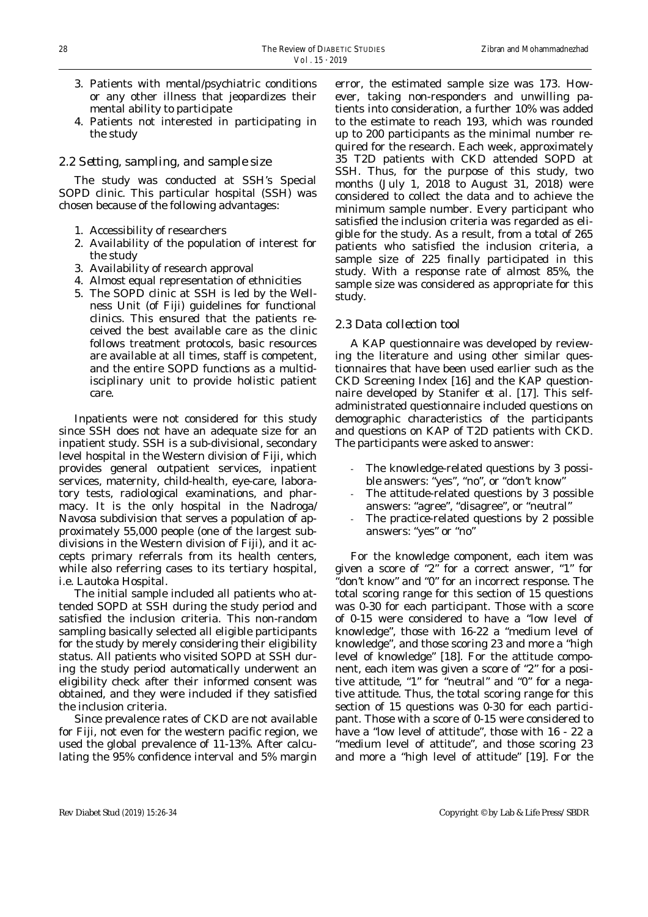- 3. Patients with mental/psychiatric conditions or any other illness that jeopardizes their mental ability to participate
- 4. Patients not interested in participating in the study

#### *2.2 Setting, sampling, and sample size*

The study was conducted at SSH's Special SOPD clinic. This particular hospital (SSH) was chosen because of the following advantages:

- 1. Accessibility of researchers
- 2. Availability of the population of interest for the study
- 3. Availability of research approval
- 4. Almost equal representation of ethnicities
- 5. The SOPD clinic at SSH is led by the Wellness Unit (of Fiji) guidelines for functional clinics. This ensured that the patients received the best available care as the clinic follows treatment protocols, basic resources are available at all times, staff is competent, and the entire SOPD functions as a multidisciplinary unit to provide holistic patient care.

Inpatients were not considered for this study since SSH does not have an adequate size for an inpatient study. SSH is a sub-divisional, secondary level hospital in the Western division of Fiji, which provides general outpatient services, inpatient services, maternity, child-health, eye-care, laboratory tests, radiological examinations, and pharmacy. It is the only hospital in the Nadroga/ Navosa subdivision that serves a population of approximately 55,000 people (one of the largest subdivisions in the Western division of Fiji), and it accepts primary referrals from its health centers, while also referring cases to its tertiary hospital, i.e. Lautoka Hospital.

The initial sample included all patients who attended SOPD at SSH during the study period and satisfied the inclusion criteria. This non-random sampling basically selected all eligible participants for the study by merely considering their eligibility status. All patients who visited SOPD at SSH during the study period automatically underwent an eligibility check after their informed consent was obtained, and they were included if they satisfied the inclusion criteria.

Since prevalence rates of CKD are not available for Fiji, not even for the western pacific region, we used the global prevalence of 11-13%. After calculating the 95% confidence interval and 5% margin

error, the estimated sample size was 173. However, taking non-responders and unwilling patients into consideration, a further 10% was added to the estimate to reach 193, which was rounded up to 200 participants as the minimal number required for the research. Each week, approximately 35 T2D patients with CKD attended SOPD at SSH. Thus, for the purpose of this study, two months (July 1, 2018 to August 31, 2018) were considered to collect the data and to achieve the minimum sample number. Every participant who satisfied the inclusion criteria was regarded as eligible for the study. As a result, from a total of 265 patients who satisfied the inclusion criteria, a sample size of 225 finally participated in this study. With a response rate of almost 85%, the sample size was considered as appropriate for this study.

#### *2.3 Data collection tool*

A KAP questionnaire was developed by reviewing the literature and using other similar questionnaires that have been used earlier such as the CKD Screening Index [16] and the KAP questionnaire developed by Stanifer *et al*. [17]. This selfadministrated questionnaire included questions on demographic characteristics of the participants and questions on KAP of T2D patients with CKD. The participants were asked to answer:

- The knowledge-related questions by 3 possible answers: "yes", "no", or "don't know"
- The attitude-related questions by 3 possible answers: "agree", "disagree", or "neutral"
- The practice-related questions by 2 possible answers: "yes" or "no"

For the knowledge component, each item was given a score of "2" for a correct answer, "1" for "don't know" and "0" for an incorrect response. The total scoring range for this section of 15 questions was 0-30 for each participant. Those with a score of 0-15 were considered to have a "low level of knowledge", those with 16-22 a "medium level of knowledge", and those scoring 23 and more a "high level of knowledge" [18]. For the attitude component, each item was given a score of "2" for a positive attitude, "1" for "neutral" and "0" for a negative attitude. Thus, the total scoring range for this section of 15 questions was 0-30 for each participant. Those with a score of 0-15 were considered to have a "low level of attitude", those with 16 - 22 a "medium level of attitude", and those scoring 23 and more a "high level of attitude" [19]. For the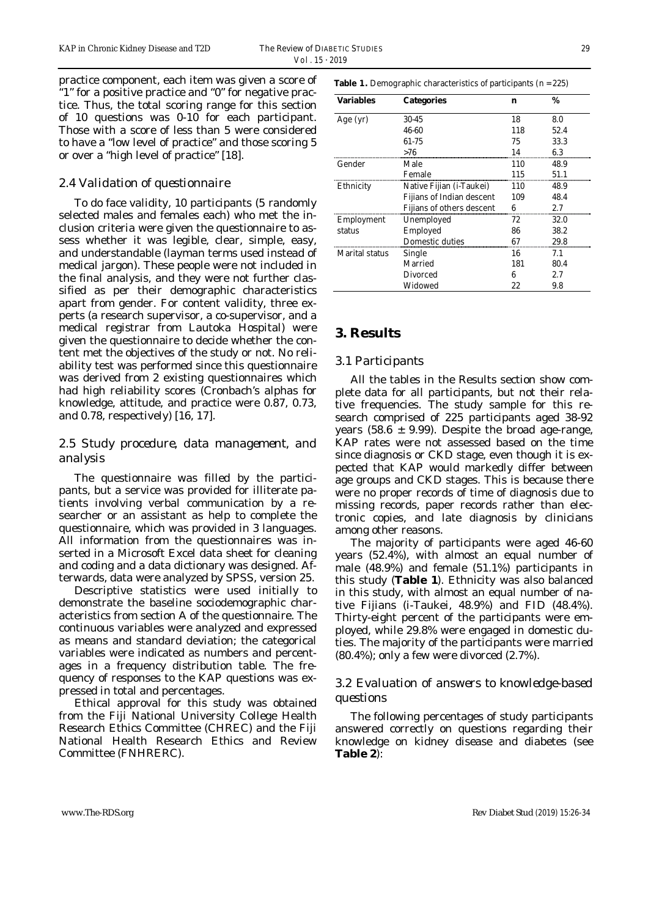practice component, each item was given a score of "1" for a positive practice and "0" for negative practice. Thus, the total scoring range for this section of 10 questions was 0-10 for each participant. Those with a score of less than 5 were considered to have a "low level of practice" and those scoring 5 or over a "high level of practice" [18].

#### *2.4 Validation of questionnaire*

To do face validity, 10 participants (5 randomly selected males and females each) who met the inclusion criteria were given the questionnaire to assess whether it was legible, clear, simple, easy, and understandable (layman terms used instead of medical jargon). These people were not included in the final analysis, and they were not further classified as per their demographic characteristics apart from gender. For content validity, three experts (a research supervisor, a co-supervisor, and a medical registrar from Lautoka Hospital) were given the questionnaire to decide whether the content met the objectives of the study or not. No reliability test was performed since this questionnaire was derived from 2 existing questionnaires which had high reliability scores (Cronbach's alphas for knowledge, attitude, and practice were 0.87, 0.73, and 0.78, respectively) [16, 17].

#### *2.5 Study procedure, data management, and analysis*

The questionnaire was filled by the participants, but a service was provided for illiterate patients involving verbal communication by a researcher or an assistant as help to complete the questionnaire, which was provided in 3 languages. All information from the questionnaires was inserted in a Microsoft Excel data sheet for cleaning and coding and a data dictionary was designed. Afterwards, data were analyzed by SPSS, version 25.

Descriptive statistics were used initially to demonstrate the baseline sociodemographic characteristics from section A of the questionnaire. The continuous variables were analyzed and expressed as means and standard deviation; the categorical variables were indicated as numbers and percentages in a frequency distribution table. The frequency of responses to the KAP questions was expressed in total and percentages.

Ethical approval for this study was obtained from the Fiji National University College Health Research Ethics Committee (CHREC) and the Fiji National Health Research Ethics and Review Committee (FNHRERC).

**Table 1.** Demographic characteristics of participants (n = 225)

| Variables      | <b>Categories</b>                | n   | %    |
|----------------|----------------------------------|-----|------|
| Age $(yr)$     | 30-45                            | 18  | 8.0  |
|                | 46-60                            | 118 | 52.4 |
|                | 61-75                            | 75  | 33.3 |
|                | >76                              | 14  | 6.3  |
| Gender         | Male                             | 110 | 48.9 |
|                | Female                           | 115 | 51.1 |
| Ethnicity      | Native Fijian (i-Taukei)         | 110 | 48.9 |
|                | <b>Fijians of Indian descent</b> | 109 | 48.4 |
|                | Fijians of others descent        |     | 2.7  |
| Employment     | Unemployed                       | 72  | 32.0 |
| status         | Employed                         | 86  | 38.2 |
|                | Domestic duties                  | 67  | 29.8 |
| Marital status | Single                           | 16  | 7.1  |
|                | Married                          | 181 | 80.4 |
|                | Divorced                         | ĥ   | 2.7  |
|                | Widowed                          | 22  | 9.8  |

## **3. Results**

#### *3.1 Participants*

All the tables in the Results section show complete data for all participants, but not their relative frequencies. The study sample for this research comprised of 225 participants aged 38-92 years (58.6  $\pm$  9.99). Despite the broad age-range, KAP rates were not assessed based on the time since diagnosis or CKD stage, even though it is expected that KAP would markedly differ between age groups and CKD stages. This is because there were no proper records of time of diagnosis due to missing records, paper records rather than electronic copies, and late diagnosis by clinicians among other reasons.

The majority of participants were aged 46-60 years (52.4%), with almost an equal number of male (48.9%) and female (51.1%) participants in this study (**Table 1**). Ethnicity was also balanced in this study, with almost an equal number of native Fijians (i-Taukei, 48.9%) and FID (48.4%). Thirty-eight percent of the participants were employed, while 29.8% were engaged in domestic duties. The majority of the participants were married (80.4%); only a few were divorced (2.7%).

#### *3.2 Evaluation of answers to knowledge-based questions*

The following percentages of study participants answered correctly on questions regarding their knowledge on kidney disease and diabetes (see **Table 2**):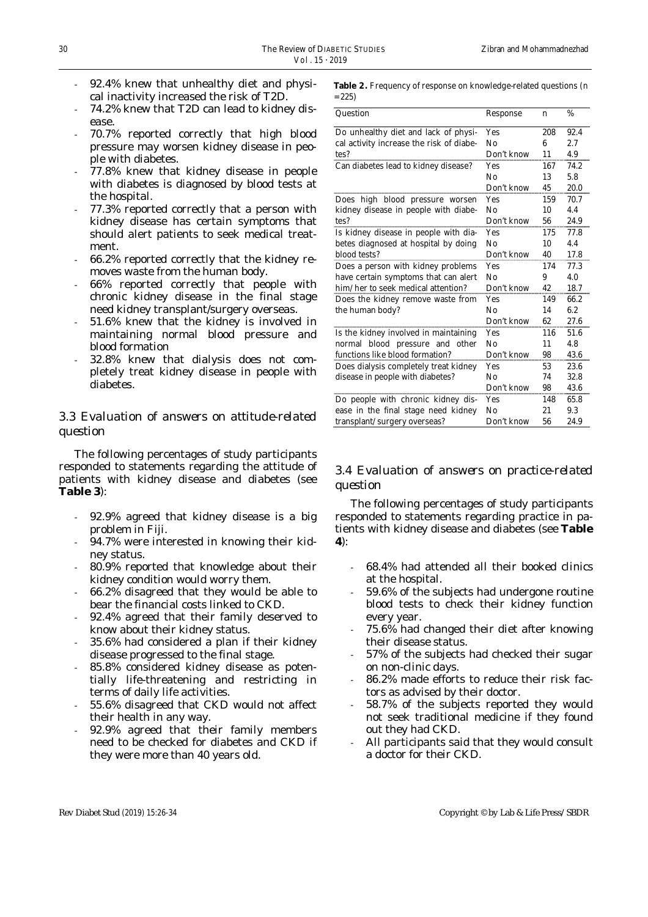- 92.4% knew that unhealthy diet and physical inactivity increased the risk of T2D.
- 74.2% knew that T2D can lead to kidney disease.
- 70.7% reported correctly that high blood pressure may worsen kidney disease in people with diabetes.
- 77.8% knew that kidney disease in people with diabetes is diagnosed by blood tests at the hospital.
- 77.3% reported correctly that a person with kidney disease has certain symptoms that should alert patients to seek medical treatment.
- 66.2% reported correctly that the kidney removes waste from the human body.
- 66% reported correctly that people with chronic kidney disease in the final stage need kidney transplant/surgery overseas.
- 51.6% knew that the kidney is involved in maintaining normal blood pressure and blood formation
- 32.8% knew that dialysis does not completely treat kidney disease in people with diabetes.

## *3.3 Evaluation of answers on attitude-related question*

The following percentages of study participants responded to statements regarding the attitude of patients with kidney disease and diabetes (see **Table 3**):

- 92.9% agreed that kidney disease is a big problem in Fiji.
- 94.7% were interested in knowing their kidney status.
- 80.9% reported that knowledge about their kidney condition would worry them.
- 66.2% disagreed that they would be able to bear the financial costs linked to CKD.
- 92.4% agreed that their family deserved to know about their kidney status.
- 35.6% had considered a plan if their kidney disease progressed to the final stage.
- 85.8% considered kidney disease as potentially life-threatening and restricting in terms of daily life activities.
- 55.6% disagreed that CKD would not affect their health in any way.
- 92.9% agreed that their family members need to be checked for diabetes and CKD if they were more than 40 years old.

**Table 2.** Frequency of response on knowledge-related questions (n  $= 225$ 

| Question                                 | Response   | n   | %    |
|------------------------------------------|------------|-----|------|
| Do unhealthy diet and lack of physi-     | Yes        | 208 | 92.4 |
| cal activity increase the risk of diabe- | No         | 6   | 2.7  |
| tes?                                     | Don't know | 11  | 4.9  |
| Can diabetes lead to kidney disease?     | <b>Yes</b> | 167 | 74.2 |
|                                          | Nο         | 13  | 5.8  |
|                                          | Don't know | 45  | 20.0 |
| Does high blood pressure worsen          | Yes        | 159 | 70.7 |
| kidney disease in people with diabe-     | Nο         | 10  | 4.4  |
| tes?                                     | Don't know | 56  | 24.9 |
| Is kidney disease in people with dia-    | Yes        | 175 | 77.8 |
| betes diagnosed at hospital by doing     | Nο         | 10  | 4.4  |
| blood tests?                             | Don't know | 40  | 17.8 |
| Does a person with kidney problems       | Yes        | 174 | 77.3 |
| have certain symptoms that can alert     | No         | 9   | 4.0  |
| him/her to seek medical attention?       | Don't know | 42  | 18.7 |
| Does the kidney remove waste from        | <b>Yes</b> | 149 | 66.2 |
| the human body?                          | No         | 14  | 6.2  |
|                                          | Don't know | 62  | 27.6 |
| Is the kidney involved in maintaining    | Yes        | 116 | 51.6 |
| normal blood pressure and other          | No         | 11  | 4.8  |
| functions like blood formation?          | Don't know | 98  | 43.6 |
| Does dialysis completely treat kidney    | <b>Yes</b> | 53  | 23.6 |
| disease in people with diabetes?         | Nο         | 74  | 32.8 |
|                                          | Don't know | 98  | 43.6 |
| Do people with chronic kidney dis-       | <b>Yes</b> | 148 | 65.8 |
| ease in the final stage need kidney      | Nο         | 21  | 9.3  |
| transplant/surgery overseas?             | Don't know | 56  | 24.9 |

## *3.4 Evaluation of answers on practice-related question*

The following percentages of study participants responded to statements regarding practice in patients with kidney disease and diabetes (see **Table 4**):

- 68.4% had attended all their booked clinics at the hospital.
- 59.6% of the subjects had undergone routine blood tests to check their kidney function every year.
- 75.6% had changed their diet after knowing their disease status.
- 57% of the subjects had checked their sugar on non-clinic days.
- 86.2% made efforts to reduce their risk factors as advised by their doctor.
- 58.7% of the subjects reported they would not seek traditional medicine if they found out they had CKD.
- All participants said that they would consult a doctor for their CKD.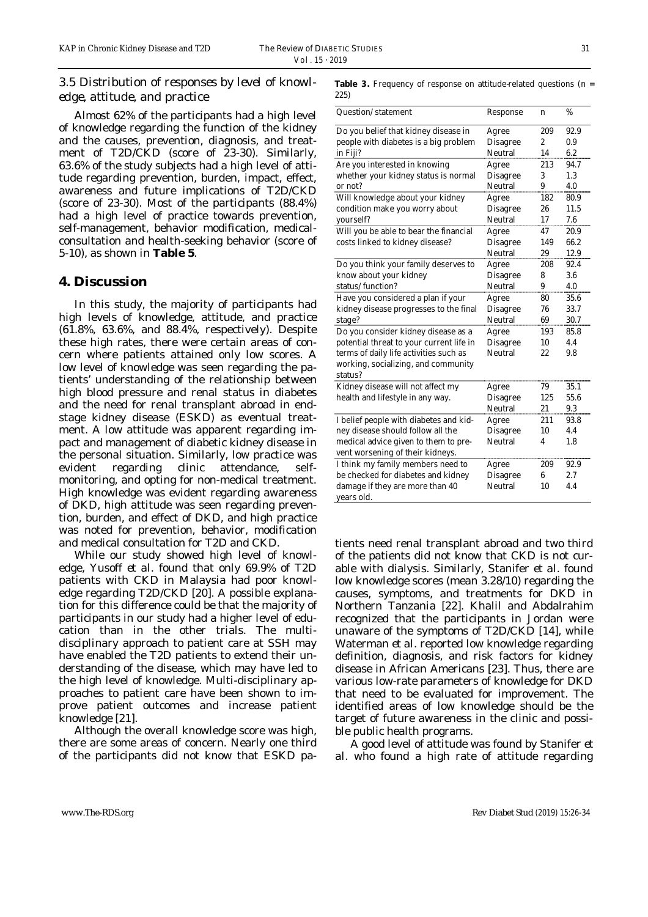## *3.5 Distribution of responses by level of knowledge, attitude, and practice*

Almost 62% of the participants had a high level of knowledge regarding the function of the kidney and the causes, prevention, diagnosis, and treatment of T2D/CKD (score of 23-30). Similarly, 63.6% of the study subjects had a high level of attitude regarding prevention, burden, impact, effect, awareness and future implications of T2D/CKD (score of 23-30). Most of the participants (88.4%) had a high level of practice towards prevention, self-management, behavior modification, medicalconsultation and health-seeking behavior (score of 5-10), as shown in **Table 5**.

#### **4. Discussion**

In this study, the majority of participants had high levels of knowledge, attitude, and practice (61.8%, 63.6%, and 88.4%, respectively). Despite these high rates, there were certain areas of concern where patients attained only low scores. A low level of knowledge was seen regarding the patients' understanding of the relationship between high blood pressure and renal status in diabetes and the need for renal transplant abroad in endstage kidney disease (ESKD) as eventual treatment. A low attitude was apparent regarding impact and management of diabetic kidney disease in the personal situation. Similarly, low practice was evident regarding clinic attendance, selfmonitoring, and opting for non-medical treatment. High knowledge was evident regarding awareness of DKD, high attitude was seen regarding prevention, burden, and effect of DKD, and high practice was noted for prevention, behavior, modification and medical consultation for T2D and CKD.

While our study showed high level of knowledge, Yusoff *et al*. found that only 69.9% of T2D patients with CKD in Malaysia had poor knowledge regarding T2D/CKD [20]. A possible explanation for this difference could be that the majority of participants in our study had a higher level of education than in the other trials. The multidisciplinary approach to patient care at SSH may have enabled the T2D patients to extend their understanding of the disease, which may have led to the high level of knowledge. Multi-disciplinary approaches to patient care have been shown to improve patient outcomes and increase patient knowledge [21].

Although the overall knowledge score was high, there are some areas of concern. Nearly one third of the participants did not know that ESKD paTable 3. Frequency of response on attitude-related questions (n = 225)

| Question/statement                             | Response        | $\mathbf n$      | %       |
|------------------------------------------------|-----------------|------------------|---------|
| Do you belief that kidney disease in           | Agree           | 209              | 92.9    |
| people with diabetes is a big problem          | <b>Disagree</b> | $\boldsymbol{2}$ | 0.9     |
| in Fiji?                                       | Neutral         | 14               | 6.2     |
| Are you interested in knowing                  | Agree           | 213              | 94.7    |
| whether your kidney status is normal           | <b>Disagree</b> | 3                | 1.3     |
| or not?                                        | Neutral         | 9                | 4.0     |
| Will knowledge about your kidney               | Agree           | 182              | 80.9    |
| condition make you worry about                 | <b>Disagree</b> | 26               | 11.5    |
| yourself?                                      | Neutral         | 17               | 7.6     |
| Will you be able to bear the financial         | Agree           | 47               | 20.9    |
| costs linked to kidney disease?                | <b>Disagree</b> | 149              | 66.2    |
|                                                | Neutral         | 29               | 12.9    |
| Do you think your family deserves to           | Agree           | 208              | 92.4    |
| know about your kidney                         | <b>Disagree</b> | 8                | $3.6\,$ |
| status/function?                               | Neutral         | 9                | 4.0     |
| Have you considered a plan if your             | Agree           | 80               | 35.6    |
| kidney disease progresses to the final         | <b>Disagree</b> | 76               | 33.7    |
| stage?                                         | Neutral         | 69               | 30.7    |
| Do you consider kidney disease as a            | Agree           | 193              | 85.8    |
| potential threat to your current life in       | <b>Disagree</b> | 10               | 4.4     |
| terms of daily life activities such as         | Neutral         | 22               | 9.8     |
| working, socializing, and community<br>status? |                 |                  |         |
| Kidney disease will not affect my              | Agree           | 79               | 35.1    |
| health and lifestyle in any way.               | <b>Disagree</b> | 125              | 55.6    |
|                                                | Neutral         | 21               | 9.3     |
| I belief people with diabetes and kid-         | Agree           | 211              | 93.8    |
| ney disease should follow all the              | <b>Disagree</b> | 10               | 4.4     |
| medical advice given to them to pre-           | Neutral         | 4                | 1.8     |
| vent worsening of their kidneys.               |                 |                  |         |
| I think my family members need to              | Agree           | 209              | 92.9    |
| be checked for diabetes and kidney             | <b>Disagree</b> | 6                | 2.7     |
| damage if they are more than 40<br>years old.  | Neutral         | 10               | 4.4     |

tients need renal transplant abroad and two third of the patients did not know that CKD is not curable with dialysis. Similarly, Stanifer *et al*. found low knowledge scores (mean 3.28/10) regarding the causes, symptoms, and treatments for DKD in Northern Tanzania [22]. Khalil and Abdalrahim recognized that the participants in Jordan were unaware of the symptoms of T2D/CKD [14], while Waterman *et al*. reported low knowledge regarding definition, diagnosis, and risk factors for kidney disease in African Americans [23]. Thus, there are various low-rate parameters of knowledge for DKD that need to be evaluated for improvement. The identified areas of low knowledge should be the target of future awareness in the clinic and possible public health programs.

A good level of attitude was found by Stanifer *et al*. who found a high rate of attitude regarding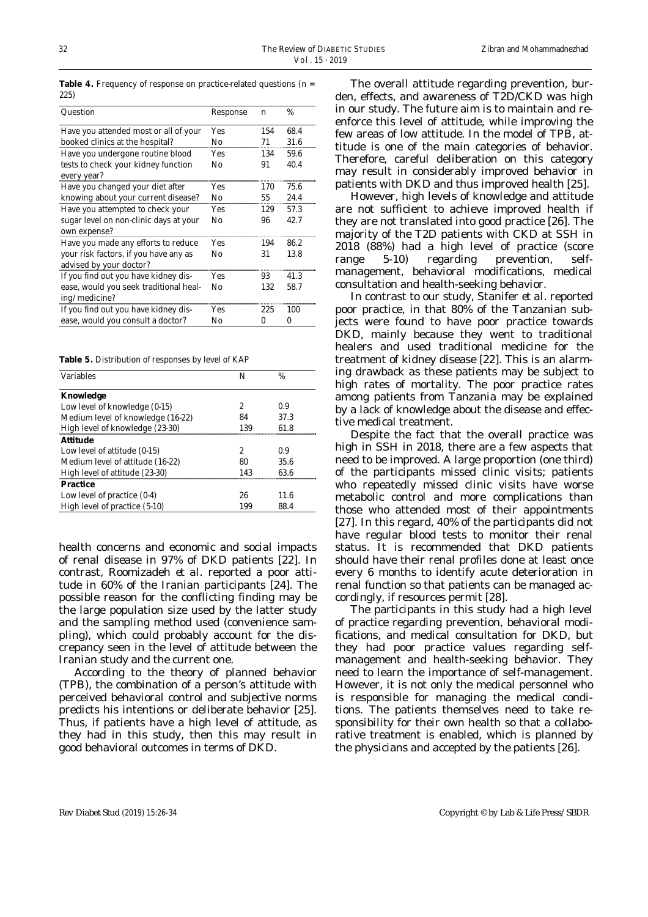| Question                                           | Response   | n   | %    |
|----------------------------------------------------|------------|-----|------|
| Have you attended most or all of your              | Yes        | 154 | 68.4 |
| booked clinics at the hospital?                    | No         | 71  | 31.6 |
| Have you undergone routine blood                   | <b>Yes</b> | 134 | 59.6 |
| tests to check your kidney function<br>every year? | No         | 91  | 40.4 |
| Have you changed your diet after                   | Yes        | 170 | 75.6 |
| knowing about your current disease?                | No         | 55  | 24.4 |
| Have you attempted to check your                   | Yes        | 129 | 57.3 |
| sugar level on non-clinic days at your             | No         | 96  | 42.7 |
| own expense?                                       |            |     |      |
| Have you made any efforts to reduce                | Yes        | 194 | 86.2 |
| your risk factors, if you have any as              | No         | 31  | 13.8 |
| advised by your doctor?                            |            |     |      |
| If you find out you have kidney dis-               | Yes        | 93  | 41.3 |
| ease, would you seek traditional heal-             | No         | 132 | 58.7 |
| ing/medicine?                                      |            |     |      |
| If you find out you have kidney dis-               | Yes        | 225 | 100  |
| ease, would you consult a doctor?                  | No         | 0   | 0    |

**Table 4.** Frequency of response on practice-related questions (n = 225)

**Table 5.** Distribution of responses by level of KAP

| <b>Variables</b>                  | N   | $\%$ |
|-----------------------------------|-----|------|
| <b>Knowledge</b>                  |     |      |
| Low level of knowledge (0-15)     | 2   | 0.9  |
| Medium level of knowledge (16-22) | 84  | 37.3 |
| High level of knowledge (23-30)   | 139 | 61.8 |
| <b>Attitude</b>                   |     |      |
| Low level of attitude (0-15)      | 2   | 0.9  |
| Medium level of attitude (16-22)  | 80  | 35.6 |
| High level of attitude (23-30)    | 143 | 63.6 |
| <b>Practice</b>                   |     |      |
| Low level of practice $(0-4)$     | 26  | 11.6 |
| High level of practice (5-10)     | 199 | 88.4 |

health concerns and economic and social impacts of renal disease in 97% of DKD patients [22]. In contrast, Roomizadeh *et al*. reported a poor attitude in 60% of the Iranian participants [24]. The possible reason for the conflicting finding may be the large population size used by the latter study and the sampling method used (convenience sampling), which could probably account for the discrepancy seen in the level of attitude between the Iranian study and the current one.

According to the theory of planned behavior (TPB), the combination of a person's attitude with perceived behavioral control and subjective norms predicts his intentions or deliberate behavior [25]. Thus, if patients have a high level of attitude, as they had in this study, then this may result in good behavioral outcomes in terms of DKD.

The overall attitude regarding prevention, burden, effects, and awareness of T2D/CKD was high in our study. The future aim is to maintain and reenforce this level of attitude, while improving the few areas of low attitude. In the model of TPB, attitude is one of the main categories of behavior. Therefore, careful deliberation on this category may result in considerably improved behavior in patients with DKD and thus improved health [25].

However, high levels of knowledge and attitude are not sufficient to achieve improved health if they are not translated into good practice [26]. The majority of the T2D patients with CKD at SSH in 2018 (88%) had a high level of practice (score range 5-10) regarding prevention, selfmanagement, behavioral modifications, medical consultation and health-seeking behavior.

In contrast to our study, Stanifer *et al*. reported poor practice, in that 80% of the Tanzanian subjects were found to have poor practice towards DKD, mainly because they went to traditional healers and used traditional medicine for the treatment of kidney disease [22]. This is an alarming drawback as these patients may be subject to high rates of mortality. The poor practice rates among patients from Tanzania may be explained by a lack of knowledge about the disease and effective medical treatment.

Despite the fact that the overall practice was high in SSH in 2018, there are a few aspects that need to be improved. A large proportion (one third) of the participants missed clinic visits; patients who repeatedly missed clinic visits have worse metabolic control and more complications than those who attended most of their appointments [27]. In this regard, 40% of the participants did not have regular blood tests to monitor their renal status. It is recommended that DKD patients should have their renal profiles done at least once every 6 months to identify acute deterioration in renal function so that patients can be managed accordingly, if resources permit [28].

The participants in this study had a high level of practice regarding prevention, behavioral modifications, and medical consultation for DKD, but they had poor practice values regarding selfmanagement and health-seeking behavior. They need to learn the importance of self-management. However, it is not only the medical personnel who is responsible for managing the medical conditions. The patients themselves need to take responsibility for their own health so that a collaborative treatment is enabled, which is planned by the physicians and accepted by the patients [26].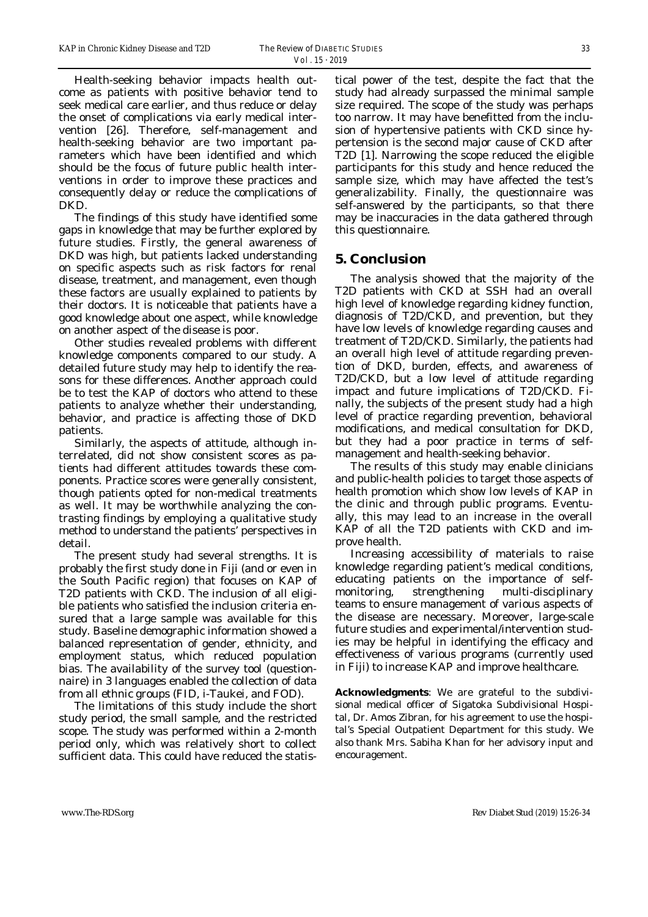Health-seeking behavior impacts health outcome as patients with positive behavior tend to seek medical care earlier, and thus reduce or delay the onset of complications via early medical intervention [26]. Therefore, self-management and health-seeking behavior are two important parameters which have been identified and which should be the focus of future public health interventions in order to improve these practices and consequently delay or reduce the complications of DKD.

The findings of this study have identified some gaps in knowledge that may be further explored by future studies. Firstly, the general awareness of DKD was high, but patients lacked understanding on specific aspects such as risk factors for renal disease, treatment, and management, even though these factors are usually explained to patients by their doctors. It is noticeable that patients have a good knowledge about one aspect, while knowledge on another aspect of the disease is poor.

Other studies revealed problems with different knowledge components compared to our study. A detailed future study may help to identify the reasons for these differences. Another approach could be to test the KAP of doctors who attend to these patients to analyze whether their understanding, behavior, and practice is affecting those of DKD patients.

Similarly, the aspects of attitude, although interrelated, did not show consistent scores as patients had different attitudes towards these components. Practice scores were generally consistent, though patients opted for non-medical treatments as well. It may be worthwhile analyzing the contrasting findings by employing a qualitative study method to understand the patients' perspectives in detail.

The present study had several strengths. It is probably the first study done in Fiji (and or even in the South Pacific region) that focuses on KAP of T2D patients with CKD. The inclusion of all eligible patients who satisfied the inclusion criteria ensured that a large sample was available for this study. Baseline demographic information showed a balanced representation of gender, ethnicity, and employment status, which reduced population bias. The availability of the survey tool (questionnaire) in 3 languages enabled the collection of data from all ethnic groups (FID, i-Taukei, and FOD).

The limitations of this study include the short study period, the small sample, and the restricted scope. The study was performed within a 2-month period only, which was relatively short to collect sufficient data. This could have reduced the statistical power of the test, despite the fact that the study had already surpassed the minimal sample size required. The scope of the study was perhaps too narrow. It may have benefitted from the inclusion of hypertensive patients with CKD since hypertension is the second major cause of CKD after T2D [1]. Narrowing the scope reduced the eligible participants for this study and hence reduced the sample size, which may have affected the test's generalizability. Finally, the questionnaire was self-answered by the participants, so that there may be inaccuracies in the data gathered through this questionnaire.

#### **5. Conclusion**

The analysis showed that the majority of the T2D patients with CKD at SSH had an overall high level of knowledge regarding kidney function, diagnosis of T2D/CKD, and prevention, but they have low levels of knowledge regarding causes and treatment of T2D/CKD. Similarly, the patients had an overall high level of attitude regarding prevention of DKD, burden, effects, and awareness of T2D/CKD, but a low level of attitude regarding impact and future implications of T2D/CKD. Finally, the subjects of the present study had a high level of practice regarding prevention, behavioral modifications, and medical consultation for DKD, but they had a poor practice in terms of selfmanagement and health-seeking behavior.

The results of this study may enable clinicians and public-health policies to target those aspects of health promotion which show low levels of KAP in the clinic and through public programs. Eventually, this may lead to an increase in the overall KAP of all the T2D patients with CKD and improve health.

Increasing accessibility of materials to raise knowledge regarding patient's medical conditions, educating patients on the importance of selfmonitoring, strengthening multi-disciplinary teams to ensure management of various aspects of the disease are necessary. Moreover, large-scale future studies and experimental/intervention studies may be helpful in identifying the efficacy and effectiveness of various programs (currently used in Fiji) to increase KAP and improve healthcare.

**Acknowledgments**: We are grateful to the subdivisional medical officer of Sigatoka Subdivisional Hospital, Dr. Amos Zibran, for his agreement to use the hospital's Special Outpatient Department for this study. We also thank Mrs. Sabiha Khan for her advisory input and encouragement.